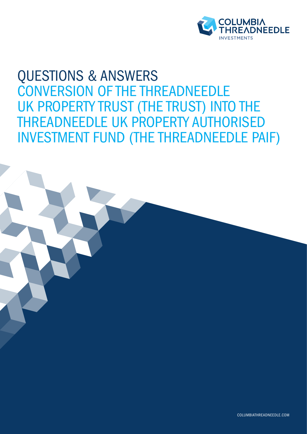

# QUESTIONS & ANSWERS CONVERSION OF THE THREADNEEDLE UK PROPERTY TRUST (THE TRUST) INTO THE THREADNEEDLE UK PROPERTY AUTHORISED INVESTMENT FUND (THE THREADNEEDLE PAIF)

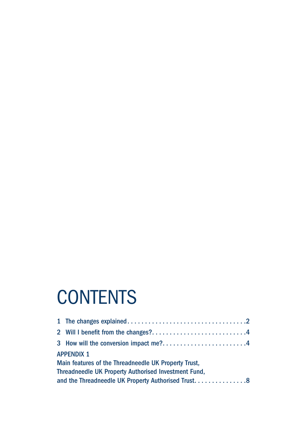# **CONTENTS**

| <b>APPENDIX 1</b>                                    |                                                    |  |  |  |  |
|------------------------------------------------------|----------------------------------------------------|--|--|--|--|
| Main features of the Threadneedle UK Property Trust, |                                                    |  |  |  |  |
| Threadneedle UK Property Authorised Investment Fund, |                                                    |  |  |  |  |
|                                                      | and the Threadneedle UK Property Authorised Trust8 |  |  |  |  |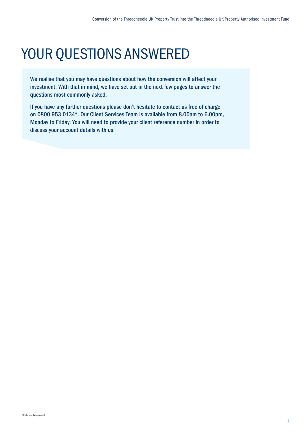# YOUR QUESTIONS ANSWERED

We realise that you may have questions about how the conversion will affect your investment. With that in mind, we have set out in the next few pages to answer the questions most commonly asked.

If you have any further questions please don't hesitate to contact us free of charge on 0800 953 0134\*. Our Client Services Team is available from 8.00am to 6.00pm, Monday to Friday. You will need to provide your client reference number in order to discuss your account details with us.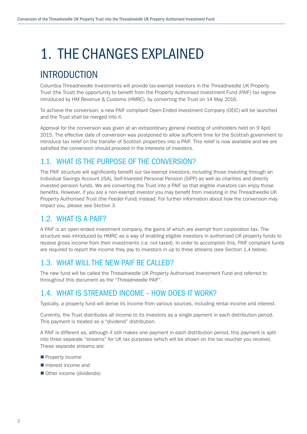# 1. THE CHANGES EXPLAINED

## INTRODUCTION

Columbia Threadneedle Investments will provide tax-exempt investors in the Threadneedle UK Property Trust (the Trust) the opportunity to benefit from the Property Authorised Investment Fund (PAIF) tax regime introduced by HM Revenue & Customs (HMRC), by converting the Trust on 14 May 2016.

To achieve the conversion, a new PAIF compliant Open-Ended Investment Company (OEIC) will be launched and the Trust shall be merged into it.

Approval for the conversion was given at an extraordinary general meeting of unitholders held on 9 April 2015. The effective date of conversion was postponed to allow sufficient time for the Scottish government to introduce tax relief on the transfer of Scottish properties into a PAIF. This relief is now available and we are satisfied the conversion should proceed in the interests of investors.

## 1.1. WHAT IS THE PURPOSE OF THE CONVERSION?

The PAIF structure will significantly benefit our tax-exempt investors, including those investing through an Individual Savings Account (ISA), Self-Invested Personal Pension (SIPP) as well as charities and directly invested pension funds. We are converting the Trust into a PAIF so that eligible investors can enjoy those benefits. However, if you are a non-exempt investor you may benefit from investing in the Threadneedle UK Property Authorised Trust (the Feeder Fund) instead. For further information about how the conversion may impact you, please see Section 3.

## 1.2. WHAT IS A PAIF?

A PAIF is an open-ended investment company, the gains of which are exempt from corporation tax. The structure was introduced by HMRC as a way of enabling eligible investors in authorised UK property funds to receive gross income from their investments (i.e. not taxed). In order to accomplish this, PAIF compliant funds are required to report the income they pay to investors in up to three streams (see Section 1.4 below).

## 1.3. WHAT WILL THE NEW PAIF BE CALLED?

The new fund will be called the Threadneedle UK Property Authorised Investment Fund and referred to throughout this document as the "Threadneedle PAIF".

## 1.4. WHAT IS STREAMED INCOME – HOW DOES IT WORK?

Typically, a property fund will derive its income from various sources, including rental income and interest.

Currently, the Trust distributes all income to its investors as a single payment in each distribution period. This payment is treated as a "dividend" distribution.

A PAIF is different as, although it still makes one payment in each distribution period, this payment is split into three separate "streams" for UK tax purposes (which will be shown on the tax voucher you receive). These separate streams are:

- $\blacksquare$  Property income
- $\blacksquare$  Interest income and
- Other income (dividends)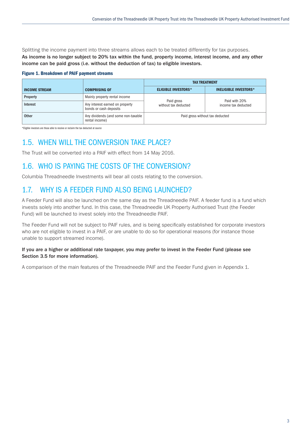Splitting the income payment into three streams allows each to be treated differently for tax purposes. As income is no longer subject to 20% tax within the fund, property income, interest income, and any other income can be paid gross (i.e. without the deduction of tax) to eligible investors.

#### Figure 1. Breakdown of PAIF payment streams

|                      |                                                           | <b>TAX TREATMENT</b>               |                                      |
|----------------------|-----------------------------------------------------------|------------------------------------|--------------------------------------|
| <b>INCOME STREAM</b> | <b>COMPRISING OF</b>                                      | <b>ELIGIBLE INVESTORS*</b>         | <b>INELIGIBLE INVESTORS*</b>         |
| Property             | Mainly property rental income                             |                                    | Paid with 20%<br>income tax deducted |
| Interest             | Any interest earned on property<br>bonds or cash deposits | Paid gross<br>without tax deducted |                                      |
| <b>Other</b>         | Any dividends (and some non-taxable<br>rental income)     | Paid gross without tax deducted    |                                      |

\*Eligible investors are those able to receive or reclaim the tax deducted at source

## 1.5. WHEN WILL THE CONVERSION TAKE PLACE?

The Trust will be converted into a PAIF with effect from 14 May 2016.

## 1.6. WHO IS PAYING THE COSTS OF THE CONVERSION?

Columbia Threadneedle Investments will bear all costs relating to the conversion.

## 1.7. WHY IS A FEEDER FUND ALSO BEING LAUNCHED?

A Feeder Fund will also be launched on the same day as the Threadneedle PAIF. A feeder fund is a fund which invests solely into another fund. In this case, the Threadneedle UK Property Authorised Trust (the Feeder Fund) will be launched to invest solely into the Threadneedle PAIF.

The Feeder Fund will not be subject to PAIF rules, and is being specifically established for corporate investors who are not eligible to invest in a PAIF, or are unable to do so for operational reasons (for instance those unable to support streamed income).

#### If you are a higher or additional rate taxpayer, you may prefer to invest in the Feeder Fund (please see Section 3.5 for more information).

A comparison of the main features of the Threadneedle PAIF and the Feeder Fund given in Appendix 1.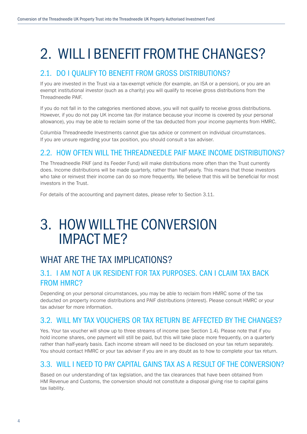# 2. WILL I BENEFIT FROM THE CHANGES?

## 2.1. DO I QUALIFY TO BENEFIT FROM GROSS DISTRIBUTIONS?

If you are invested in the Trust via a tax-exempt vehicle (for example, an ISA or a pension), or you are an exempt institutional investor (such as a charity) you will qualify to receive gross distributions from the Threadneedle PAIF.

If you do not fall in to the categories mentioned above, you will not qualify to receive gross distributions. However, if you do not pay UK income tax (for instance because your income is covered by your personal allowance), you may be able to reclaim some of the tax deducted from your income payments from HMRC.

Columbia Threadneedle Investments cannot give tax advice or comment on individual circumstances. If you are unsure regarding your tax position, you should consult a tax adviser.

## 2.2. HOW OFTEN WILL THE THREADNEEDLE PAIF MAKE INCOME DISTRIBUTIONS?

The Threadneedle PAIF (and its Feeder Fund) will make distributions more often than the Trust currently does. Income distributions will be made quarterly, rather than half-yearly. This means that those investors who take or reinvest their income can do so more frequently. We believe that this will be beneficial for most investors in the Trust.

For details of the accounting and payment dates, please refer to Section 3.11.

## 3. HOW WILL THE CONVERSION IMPACT ME?

## WHAT ARE THE TAX IMPLICATIONS?

## 3.1. I AM NOT A UK RESIDENT FOR TAX PURPOSES. CAN I CLAIM TAX BACK FROM HMRC?

Depending on your personal circumstances, you may be able to reclaim from HMRC some of the tax deducted on property income distributions and PAIF distributions (interest). Please consult HMRC or your tax adviser for more information.

## 3.2. WILL MY TAX VOUCHERS OR TAX RETURN BE AFFECTED BY THE CHANGES?

Yes. Your tax voucher will show up to three streams of income (see Section 1.4). Please note that if you hold income shares, one payment will still be paid, but this will take place more frequently, on a quarterly rather than half-yearly basis. Each income stream will need to be disclosed on your tax return separately. You should contact HMRC or your tax adviser if you are in any doubt as to how to complete your tax return.

## 3.3. WILL I NEED TO PAY CAPITAL GAINS TAX AS A RESULT OF THE CONVERSION?

Based on our understanding of tax legislation, and the tax clearances that have been obtained from HM Revenue and Customs, the conversion should not constitute a disposal giving rise to capital gains tax liability.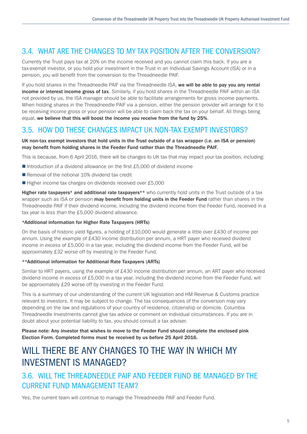## 3.4. WHAT ARE THE CHANGES TO MY TAX POSITION AFTER THE CONVERSION?

Currently the Trust pays tax at 20% on the income received and you cannot claim this back. If you are a tax-exempt investor, or you hold your investment in the Trust in an Individual Savings Account (ISA) or in a pension, you will benefit from the conversion to the Threadneedle PAIF.

If you hold shares in the Threadneedle PAIF via the Threadneedle ISA, we will be able to pay you any rental income or interest income gross of tax. Similarly, if you hold shares in the Threadneedle PAIF within an ISA not provided by us, the ISA manager should be able to facilitate arrangements for gross income payments. When holding shares in the Threadneedle PAIF via a pension, either the pension provider will arrange for it to be receiving income gross or your pension will be able to claim back the tax on your behalf. All things being equal, we believe that this will boost the income you receive from the fund by 25%.

## 3.5. HOW DO THESE CHANGES IMPACT UK NON-TAX EXEMPT INVESTORS?

#### UK non-tax exempt investors that hold units in the Trust outside of a tax wrapper (i.e. an ISA or pension) may benefit from holding shares in the Feeder Fund rather than the Threadneedle PAIF.

This is because, from 6 April 2016, there will be changes to UK tax that may impact your tax position, including:

- Introduction of a dividend allowance on the first  $£5,000$  of dividend income
- $\blacksquare$  Removal of the notional 10% dividend tax credit
- $\blacksquare$  Higher income tax charges on dividends received over £5,000

Higher rate taxpayers\* and additional rate taxpayers\*\* who currently hold units in the Trust outside of a tax wrapper such as ISA or pension may benefit from holding units in the Feeder Fund rather than shares in the Threadneedle PAIF if their dividend income, including the dividend income from the Feeder Fund, received in a tax year is *less than* the £5,000 dividend allowance.

#### \*Additional information for Higher Rate Taxpayers (HRTs)

On the basis of historic yield figures, a holding of £10,000 would generate a little over £430 of income per annum. Using the example of £430 income distribution per annum, a HRT payer who received dividend income *in excess* of £5,000 in a tax year, including the dividend income from the Feeder Fund, will be approximately £32 worse off by investing in the Feeder Fund.

#### \*\*Additional information for Additional Rate Taxpayers (ARTs)

Similar to HRT payers, using the example of £430 income distribution per annum, an ART payer who received dividend income *in excess* of £5,000 in a tax year, including the dividend income from the Feeder Fund, will be approximately £29 worse off by investing in the Feeder Fund.

This is a summary of our understanding of the current UK legislation and HM Revenue & Customs practice relevant to investors. It may be subject to change. The tax consequences of the conversion may vary depending on the law and regulations of your country of residence, citizenship or domicile. Columbia Threadneedle Investments cannot give tax advice or comment on individual circumstances. If you are in doubt about your potential liability to tax, you should consult a tax adviser.

Please note: Any investor that wishes to move to the Feeder Fund should complete the enclosed pink Election Form. Completed forms must be received by us before 25 April 2016.

## WILL THERE BE ANY CHANGES TO THE WAY IN WHICH MY INVESTMENT IS MANAGED?

## 3.6. WILL THE THREADNEEDLE PAIF AND FEEDER FUND BE MANAGED BY THE CURRENT FUND MANAGEMENT TEAM?

Yes, the current team will continue to manage the Threadneedle PAIF and Feeder Fund.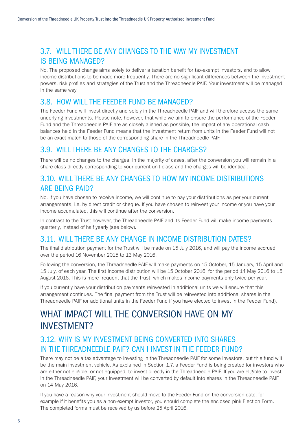## 3.7. WILL THERE BE ANY CHANGES TO THE WAY MY INVESTMENT IS BEING MANAGED?

No. The proposed change aims solely to deliver a taxation benefit for tax-exempt investors, and to allow income distributions to be made more frequently. There are no significant differences between the investment powers, risk profiles and strategies of the Trust and the Threadneedle PAIF. Your investment will be managed in the same way.

### 3.8. HOW WILL THE FEEDER FUND BE MANAGED?

The Feeder Fund will invest directly and solely in the Threadneedle PAIF and will therefore access the same underlying investments. Please note, however, that while we aim to ensure the performance of the Feeder Fund and the Threadneedle PAIF are as closely aligned as possible, the impact of any operational cash balances held in the Feeder Fund means that the investment return from units in the Feeder Fund will not be an exact match to those of the corresponding share in the Threadneedle PAIF.

### 3.9. WILL THERE BE ANY CHANGES TO THE CHARGES?

There will be no changes to the charges. In the majority of cases, after the conversion you will remain in a share class directly corresponding to your current unit class and the charges will be identical.

## 3.10. WILL THERE BE ANY CHANGES TO HOW MY INCOME DISTRIBUTIONS ARE BEING PAID?

No. If you have chosen to receive income, we will continue to pay your distributions as per your current arrangements, i.e. by direct credit or cheque. If you have chosen to reinvest your income or you have your income accumulated, this will continue after the conversion.

In contrast to the Trust however, the Threadneedle PAIF and its Feeder Fund will make income payments quarterly, instead of half yearly (see below).

## 3.11. WILL THERE BE ANY CHANGE IN INCOME DISTRIBUTION DATES?

The final distribution payment for the Trust will be made on 15 July 2016, and will pay the income accrued over the period 16 November 2015 to 13 May 2016.

Following the conversion, the Threadneedle PAIF will make payments on 15 October, 15 January, 15 April and 15 July, of each year. The first income distribution will be 15 October 2016, for the period 14 May 2016 to 15 August 2016. This is more frequent that the Trust, which makes income payments only twice per year.

If you currently have your distribution payments reinvested in additional units we will ensure that this arrangement continues. The final payment from the Trust will be reinvested into additional shares in the Threadneedle PAIF (or additional units in the Feeder Fund if you have elected to invest in the Feeder Fund).

## WHAT IMPACT WILL THE CONVERSION HAVE ON MY INVESTMENT?

## 3.12. WHY IS MY INVESTMENT BEING CONVERTED INTO SHARES IN THE THREADNEEDLE PAIF? CAN I INVEST IN THE FEEDER FUND?

There may not be a tax advantage to investing in the Threadneedle PAIF for some investors, but this fund will be the main investment vehicle. As explained in Section 1.7, a Feeder Fund is being created for investors who are either not eligible, or not equipped, to invest directly in the Threadneedle PAIF. If you are eligible to invest in the Threadneedle PAIF, your investment will be converted by default into shares in the Threadneedle PAIF on 14 May 2016.

If you have a reason why your investment should move to the Feeder Fund on the conversion date, for example if it benefits you as a non-exempt investor, you should complete the enclosed pink Election Form. The completed forms must be received by us before 25 April 2016.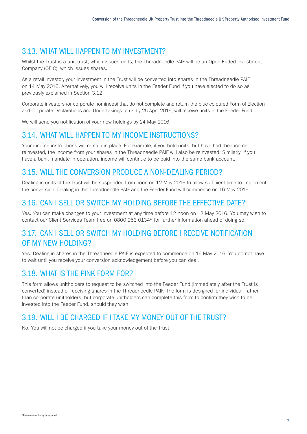## 3.13. WHAT WILL HAPPEN TO MY INVESTMENT?

Whilst the Trust is a unit trust, which issues units, the Threadneedle PAIF will be an Open-Ended Investment Company (OEIC), which issues shares.

As a retail investor, your investment in the Trust will be converted into shares in the Threadneedle PAIF on 14 May 2016. Alternatively, you will receive units in the Feeder Fund if you have elected to do so as previously explained in Section 3.12.

Corporate investors (or corporate nominees) that do not complete and return the blue coloured Form of Election and Corporate Declarations and Undertakings to us by 25 April 2016, will receive units in the Feeder Fund.

We will send you notification of your new holdings by 24 May 2016.

### 3.14. WHAT WILL HAPPEN TO MY INCOME INSTRUCTIONS?

Your income instructions will remain in place. For example, if you hold units, but have had the income reinvested, the income from your shares in the Threadneedle PAIF will also be reinvested. Similarly, if you have a bank mandate in operation, income will continue to be paid into the same bank account.

### 3.15. WILL THE CONVERSION PRODUCE A NON-DEALING PERIOD?

Dealing in units of the Trust will be suspended from noon on 12 May 2016 to allow sufficient time to implement the conversion. Dealing in the Threadneedle PAIF and the Feeder Fund will commence on 16 May 2016.

## 3.16. CAN I SELL OR SWITCH MY HOLDING BEFORE THE EFFECTIVE DATE?

Yes. You can make changes to your investment at any time before 12 noon on 12 May 2016. You may wish to contact our Client Services Team free on 0800 953 0134\* for further information ahead of doing so.

## 3.17. CAN I SELL OR SWITCH MY HOLDING BEFORE I RECEIVE NOTIFICATION OF MY NEW HOLDING?

Yes. Dealing in shares in the Threadneedle PAIF is expected to commence on 16 May 2016. You do not have to wait until you receive your conversion acknowledgement before you can deal.

### 3.18. WHAT IS THE PINK FORM FOR?

This form allows unitholders to request to be switched into the Feeder Fund (immediately after the Trust is converted) instead of receiving shares in the Threadneedle PAIF. The form is designed for individual, rather than corporate unitholders, but corporate unitholders can complete this form to confirm they wish to be invested into the Feeder Fund, should they wish.

## 3.19. WILL I BE CHARGED IF I TAKE MY MONEY OUT OF THE TRUST?

No. You will not be charged if you take your money out of the Trust.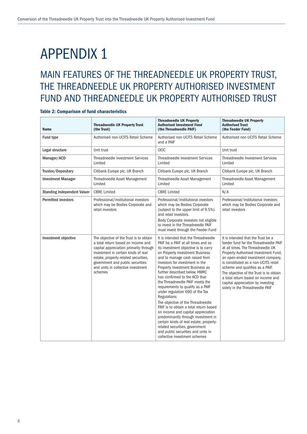# APPENDIX 1

## MAIN FEATURES OF THE THREADNEEDLE UK PROPERTY TRUST, THE THREADNEEDLE UK PROPERTY AUTHORISED INVESTMENT FUND AND THREADNEEDLE UK PROPERTY AUTHORISED TRUST

#### Table 2: Comparison of fund characteristics

| <b>Name</b>                        | <b>Threadneedle UK Property Trust</b><br>(the Trust)                                                                                                                                                                                                                                        | <b>Threadneedle UK Property</b><br><b>Authorised Investment Fund</b><br>(the Threadneedle PAIF)                                                                                                                                                                                                                                                                                                                                                                                                                                                                                                                                                                                                                                                                           | <b>Threadneedle UK Property</b><br><b>Authorised Trust</b><br>(the Feeder Fund)                                                                                                                                                                                                                                                                                                                                                   |
|------------------------------------|---------------------------------------------------------------------------------------------------------------------------------------------------------------------------------------------------------------------------------------------------------------------------------------------|---------------------------------------------------------------------------------------------------------------------------------------------------------------------------------------------------------------------------------------------------------------------------------------------------------------------------------------------------------------------------------------------------------------------------------------------------------------------------------------------------------------------------------------------------------------------------------------------------------------------------------------------------------------------------------------------------------------------------------------------------------------------------|-----------------------------------------------------------------------------------------------------------------------------------------------------------------------------------------------------------------------------------------------------------------------------------------------------------------------------------------------------------------------------------------------------------------------------------|
| Fund type                          | Authorised non-UCITS Retail Scheme                                                                                                                                                                                                                                                          | Authorised non-UCITS Retail Scheme<br>and a PAIF                                                                                                                                                                                                                                                                                                                                                                                                                                                                                                                                                                                                                                                                                                                          | Authorised non-UCITS Retail Scheme                                                                                                                                                                                                                                                                                                                                                                                                |
| Legal structure                    | Unit trust                                                                                                                                                                                                                                                                                  | <b>OEIC</b>                                                                                                                                                                                                                                                                                                                                                                                                                                                                                                                                                                                                                                                                                                                                                               | Unit trust                                                                                                                                                                                                                                                                                                                                                                                                                        |
| Manager/ACD                        | <b>Threadneedle Investment Services</b><br>Limited                                                                                                                                                                                                                                          | <b>Threadneedle Investment Services</b><br>Limited                                                                                                                                                                                                                                                                                                                                                                                                                                                                                                                                                                                                                                                                                                                        | Threadneedle Investment Services<br>Limited                                                                                                                                                                                                                                                                                                                                                                                       |
| Trustee/Depositary                 | Citibank Europe plc, UK Branch                                                                                                                                                                                                                                                              | Citibank Europe plc, UK Branch                                                                                                                                                                                                                                                                                                                                                                                                                                                                                                                                                                                                                                                                                                                                            | Citibank Europe plc, UK Branch                                                                                                                                                                                                                                                                                                                                                                                                    |
| <b>Investment Manager</b>          | Threadneedle Asset Management<br>Limited                                                                                                                                                                                                                                                    | Threadneedle Asset Management<br>Limited                                                                                                                                                                                                                                                                                                                                                                                                                                                                                                                                                                                                                                                                                                                                  | Threadneedle Asset Management<br>Limited                                                                                                                                                                                                                                                                                                                                                                                          |
| <b>Standing Independent Valuer</b> | <b>CBRE Limited</b>                                                                                                                                                                                                                                                                         | <b>CBRE Limited</b>                                                                                                                                                                                                                                                                                                                                                                                                                                                                                                                                                                                                                                                                                                                                                       | N/A                                                                                                                                                                                                                                                                                                                                                                                                                               |
| <b>Permitted investors</b>         | Professional/institutional investors<br>which may be Bodies Corporate and<br>retail investors                                                                                                                                                                                               | Professional/institutional investors<br>which may be Bodies Corporate<br>(subject to the upper limit of 9.5%)<br>and retail investors.<br>Body Corporate investors not eligible<br>to invest in the Threadneedle PAIF<br>must invest through the Feeder Fund                                                                                                                                                                                                                                                                                                                                                                                                                                                                                                              | Professional/institutional investors<br>which may be Bodies Corporate and<br>retail investors                                                                                                                                                                                                                                                                                                                                     |
| Investment objective               | The objective of the Trust is to obtain<br>a total return based on income and<br>capital appreciation primarily through<br>investment in certain kinds of real<br>estate, property-related securities,<br>government and public securities<br>and units in collective investment<br>schemes | It is intended that the Threadneedle<br>PAIF be a PAIF at all times and so<br>its investment objective is to carry<br>on Property Investment Business<br>and to manage cash raised from<br>investors for investment in the<br>Property Investment Business as<br>further described below. HMRC<br>has confirmed to the ACD that<br>the Threadneedle PAIF meets the<br>requirements to qualify as a PAIF<br>under regulation 690 of the Tax<br>Regulations<br>The objective of the Threadneedle<br>PAIF is to obtain a total return based<br>on income and capital appreciation<br>predominantly through investment in<br>certain kinds of real estate, property-<br>related securities, government<br>and public securities and units in<br>collective investment schemes | It is intended that the Trust be a<br>feeder fund for the Threadneedle PAIF<br>at all times. The Threadneedle UK<br>Property Authorised Investment Fund,<br>an open-ended investment company,<br>is constituted as a non-UCITS retail<br>scheme and qualifies as a PAIF.<br>The objective of the Trust is to obtain<br>a total return based on income and<br>capital appreciation by investing<br>solely in the Threadneedle PAIF |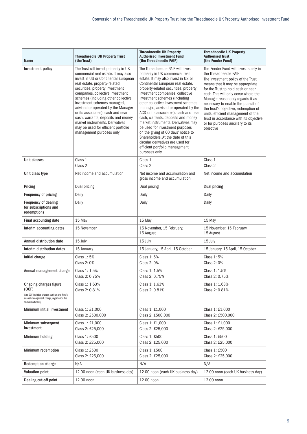| <b>Name</b>                                                                                                                                               | <b>Threadneedle UK Property Trust</b><br>(the Trust)                                                                                                                                                                                                                                                                                                                                                                                                                                                                      | <b>Threadneedle UK Property</b><br><b>Authorised Investment Fund</b><br>(the Threadneedle PAIF)                                                                                                                                                                                                                                                                                                                                                                                                                                                                                                                                                                           | <b>Threadneedle UK Property</b><br><b>Authorised Trust</b><br>(the Feeder Fund)                                                                                                                                                                                                                                                                                                                                                                                             |
|-----------------------------------------------------------------------------------------------------------------------------------------------------------|---------------------------------------------------------------------------------------------------------------------------------------------------------------------------------------------------------------------------------------------------------------------------------------------------------------------------------------------------------------------------------------------------------------------------------------------------------------------------------------------------------------------------|---------------------------------------------------------------------------------------------------------------------------------------------------------------------------------------------------------------------------------------------------------------------------------------------------------------------------------------------------------------------------------------------------------------------------------------------------------------------------------------------------------------------------------------------------------------------------------------------------------------------------------------------------------------------------|-----------------------------------------------------------------------------------------------------------------------------------------------------------------------------------------------------------------------------------------------------------------------------------------------------------------------------------------------------------------------------------------------------------------------------------------------------------------------------|
| Investment policy                                                                                                                                         | The Trust will invest primarily in UK<br>commercial real estate. It may also<br>invest in US or Continental European<br>real estate, property-related<br>securities, property investment<br>companies, collective investment<br>schemes (including other collective<br>investment schemes managed,<br>advised or operated by the Manager<br>or its associates), cash and near<br>cash, warrants, deposits and money<br>market instruments. Derivatives<br>may be used for efficient portfolio<br>management purposes only | The Threadneedle PAIF will invest<br>primarily in UK commercial real<br>estate. It may also invest in US or<br>Continental European real estate,<br>property-related securities, property<br>investment companies, collective<br>investment schemes (including<br>other collective investment schemes<br>managed, advised or operated by the<br>ACD or its associates), cash and near<br>cash, warrants, deposits and money<br>market instruments. Derivatives may<br>be used for investment purposes<br>on the giving of 60 days' notice to<br>Shareholders. At the date of this<br>circular derivatives are used for<br>efficient portfolio management<br>purposes only | The Feeder Fund will invest solely in<br>the Threadneedle PAIF.<br>The investment policy of the Trust<br>means that it may be appropriate<br>for the Trust to hold cash or near<br>cash. This will only occur where the<br>Manager reasonably regards it as<br>necessary to enable the pursuit of<br>the Trust's objective, redemption of<br>units, efficient management of the<br>Trust in accordance with its objective,<br>or for purposes ancillary to its<br>objective |
| Unit classes                                                                                                                                              | Class 1<br>Class 2                                                                                                                                                                                                                                                                                                                                                                                                                                                                                                        | Class 1<br>Class <sub>2</sub>                                                                                                                                                                                                                                                                                                                                                                                                                                                                                                                                                                                                                                             | Class 1<br>Class 2                                                                                                                                                                                                                                                                                                                                                                                                                                                          |
| Unit class type                                                                                                                                           | Net income and accumulation                                                                                                                                                                                                                                                                                                                                                                                                                                                                                               | Net income and accumulation and<br>gross income and accumulation                                                                                                                                                                                                                                                                                                                                                                                                                                                                                                                                                                                                          | Net income and accumulation                                                                                                                                                                                                                                                                                                                                                                                                                                                 |
| Pricing                                                                                                                                                   | Dual pricing                                                                                                                                                                                                                                                                                                                                                                                                                                                                                                              | Dual pricing                                                                                                                                                                                                                                                                                                                                                                                                                                                                                                                                                                                                                                                              | Dual pricing                                                                                                                                                                                                                                                                                                                                                                                                                                                                |
| Frequency of pricing                                                                                                                                      | Daily                                                                                                                                                                                                                                                                                                                                                                                                                                                                                                                     | Daily                                                                                                                                                                                                                                                                                                                                                                                                                                                                                                                                                                                                                                                                     | Daily                                                                                                                                                                                                                                                                                                                                                                                                                                                                       |
| Frequency of dealing<br>for subscriptions and<br>redemptions                                                                                              | Daily                                                                                                                                                                                                                                                                                                                                                                                                                                                                                                                     | Daily                                                                                                                                                                                                                                                                                                                                                                                                                                                                                                                                                                                                                                                                     | Daily                                                                                                                                                                                                                                                                                                                                                                                                                                                                       |
| Final accounting date                                                                                                                                     | 15 May                                                                                                                                                                                                                                                                                                                                                                                                                                                                                                                    | 15 May                                                                                                                                                                                                                                                                                                                                                                                                                                                                                                                                                                                                                                                                    | 15 May                                                                                                                                                                                                                                                                                                                                                                                                                                                                      |
| Interim accounting dates                                                                                                                                  | 15 November                                                                                                                                                                                                                                                                                                                                                                                                                                                                                                               | 15 November, 15 February,<br>15 August                                                                                                                                                                                                                                                                                                                                                                                                                                                                                                                                                                                                                                    | 15 November, 15 February,<br>15 August                                                                                                                                                                                                                                                                                                                                                                                                                                      |
| Annual distribution date                                                                                                                                  | 15 July                                                                                                                                                                                                                                                                                                                                                                                                                                                                                                                   | 15 July                                                                                                                                                                                                                                                                                                                                                                                                                                                                                                                                                                                                                                                                   | 15 July                                                                                                                                                                                                                                                                                                                                                                                                                                                                     |
| Interim distribution dates                                                                                                                                | 15 January                                                                                                                                                                                                                                                                                                                                                                                                                                                                                                                | 15 January, 15 April, 15 October                                                                                                                                                                                                                                                                                                                                                                                                                                                                                                                                                                                                                                          | 15 January, 15 April, 15 October                                                                                                                                                                                                                                                                                                                                                                                                                                            |
| Initial charge                                                                                                                                            | Class 1:5%<br>Class 2: 0%                                                                                                                                                                                                                                                                                                                                                                                                                                                                                                 | Class 1:5%<br>Class 2: 0%                                                                                                                                                                                                                                                                                                                                                                                                                                                                                                                                                                                                                                                 | Class 1:5%<br>Class 2: 0%                                                                                                                                                                                                                                                                                                                                                                                                                                                   |
| Annual management charge                                                                                                                                  | Class 1: 1.5%<br>Class 2: 0.75%                                                                                                                                                                                                                                                                                                                                                                                                                                                                                           | Class 1: 1.5%<br>Class 2: 0.75%                                                                                                                                                                                                                                                                                                                                                                                                                                                                                                                                                                                                                                           | Class 1: 1.5%<br>Class 2: 0.75%                                                                                                                                                                                                                                                                                                                                                                                                                                             |
| <b>Ongoing charges figure</b><br>(OCF)<br>(the OCF includes charges such as the fund's<br>annual management charge, registration fee<br>and custody fees) | Class 1: 1.63%<br>Class 2: 0.81%                                                                                                                                                                                                                                                                                                                                                                                                                                                                                          | Class 1: 1.63%<br>Class 2: 0.81%                                                                                                                                                                                                                                                                                                                                                                                                                                                                                                                                                                                                                                          | Class 1: 1.63%<br>Class 2: 0.81%                                                                                                                                                                                                                                                                                                                                                                                                                                            |
| Minimum initial investment                                                                                                                                | Class 1: £1,000<br>Class 2: £500,000                                                                                                                                                                                                                                                                                                                                                                                                                                                                                      | Class 1: £1,000<br>Class 2: £500,000                                                                                                                                                                                                                                                                                                                                                                                                                                                                                                                                                                                                                                      | Class 1: £1,000<br>Class 2: £500,000                                                                                                                                                                                                                                                                                                                                                                                                                                        |
| Minimum subsequent<br>investment                                                                                                                          | Class 1: £1,000<br>Class 2: £25,000                                                                                                                                                                                                                                                                                                                                                                                                                                                                                       | Class 1: £1,000<br>Class 2: £25,000                                                                                                                                                                                                                                                                                                                                                                                                                                                                                                                                                                                                                                       | Class 1: £1,000<br>Class 2: £25,000                                                                                                                                                                                                                                                                                                                                                                                                                                         |
| Minimum holding                                                                                                                                           | Class 1: £500<br>Class 2: £25,000                                                                                                                                                                                                                                                                                                                                                                                                                                                                                         | Class 1: £500<br>Class 2: £25,000                                                                                                                                                                                                                                                                                                                                                                                                                                                                                                                                                                                                                                         | Class 1: £500<br>Class 2: £25,000                                                                                                                                                                                                                                                                                                                                                                                                                                           |
| Minimum redemption                                                                                                                                        | Class 1: £500<br>Class 2: £25,000                                                                                                                                                                                                                                                                                                                                                                                                                                                                                         | Class 1: £500<br>Class 2: £25,000                                                                                                                                                                                                                                                                                                                                                                                                                                                                                                                                                                                                                                         | Class 1: £500<br>Class 2: £25,000                                                                                                                                                                                                                                                                                                                                                                                                                                           |
| <b>Redemption charge</b>                                                                                                                                  | N/A                                                                                                                                                                                                                                                                                                                                                                                                                                                                                                                       | N/A                                                                                                                                                                                                                                                                                                                                                                                                                                                                                                                                                                                                                                                                       | N/A                                                                                                                                                                                                                                                                                                                                                                                                                                                                         |
| <b>Valuation point</b>                                                                                                                                    | 12.00 noon (each UK business day)                                                                                                                                                                                                                                                                                                                                                                                                                                                                                         | 12.00 noon (each UK business day)                                                                                                                                                                                                                                                                                                                                                                                                                                                                                                                                                                                                                                         | 12.00 noon (each UK business day)                                                                                                                                                                                                                                                                                                                                                                                                                                           |
| Dealing cut-off point                                                                                                                                     | 12.00 noon                                                                                                                                                                                                                                                                                                                                                                                                                                                                                                                | 12.00 noon                                                                                                                                                                                                                                                                                                                                                                                                                                                                                                                                                                                                                                                                | 12.00 noon                                                                                                                                                                                                                                                                                                                                                                                                                                                                  |